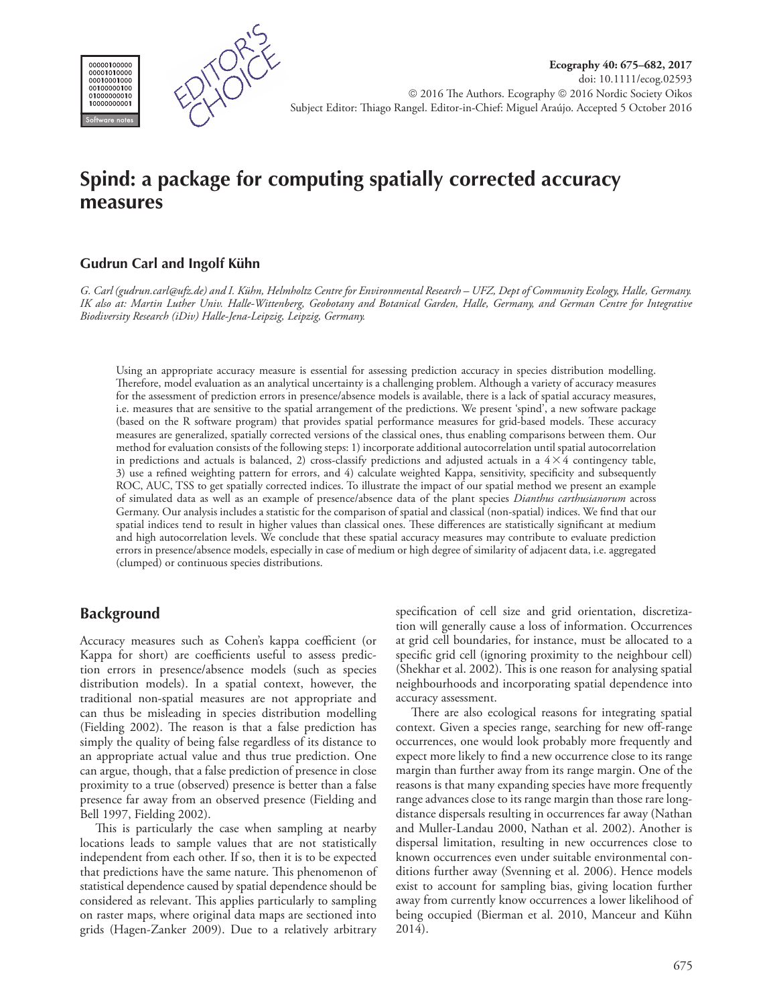



# **Spind: a package for computing spatially corrected accuracy measures**

# **Gudrun Carl and Ingolf Kühn**

*G. Carl (gudrun.carl@ufz.de) and I. Kühn, Helmholtz Centre for Environmental Research – UFZ, Dept of Community Ecology, Halle, Germany. IK also at: Martin Luther Univ. Halle-Wittenberg, Geobotany and Botanical Garden, Halle, Germany, and German Centre for Integrative Biodiversity Research (iDiv) Halle-Jena-Leipzig, Leipzig, Germany.*

Using an appropriate accuracy measure is essential for assessing prediction accuracy in species distribution modelling. Therefore, model evaluation as an analytical uncertainty is a challenging problem. Although a variety of accuracy measures for the assessment of prediction errors in presence/absence models is available, there is a lack of spatial accuracy measures, i.e. measures that are sensitive to the spatial arrangement of the predictions. We present 'spind', a new software package (based on the R software program) that provides spatial performance measures for grid-based models. These accuracy measures are generalized, spatially corrected versions of the classical ones, thus enabling comparisons between them. Our method for evaluation consists of the following steps: 1) incorporate additional autocorrelation until spatial autocorrelation in predictions and actuals is balanced, 2) cross-classify predictions and adjusted actuals in a  $4 \times 4$  contingency table, 3) use a refined weighting pattern for errors, and 4) calculate weighted Kappa, sensitivity, specificity and subsequently ROC, AUC, TSS to get spatially corrected indices. To illustrate the impact of our spatial method we present an example of simulated data as well as an example of presence/absence data of the plant species *Dianthus carthusianorum* across Germany. Our analysis includes a statistic for the comparison of spatial and classical (non-spatial) indices. We find that our spatial indices tend to result in higher values than classical ones. These differences are statistically significant at medium and high autocorrelation levels. We conclude that these spatial accuracy measures may contribute to evaluate prediction errors in presence/absence models, especially in case of medium or high degree of similarity of adjacent data, i.e. aggregated (clumped) or continuous species distributions.

# **Background**

Accuracy measures such as Cohen's kappa coefficient (or Kappa for short) are coefficients useful to assess prediction errors in presence/absence models (such as species distribution models). In a spatial context, however, the traditional non-spatial measures are not appropriate and can thus be misleading in species distribution modelling (Fielding 2002). The reason is that a false prediction has simply the quality of being false regardless of its distance to an appropriate actual value and thus true prediction. One can argue, though, that a false prediction of presence in close proximity to a true (observed) presence is better than a false presence far away from an observed presence (Fielding and Bell 1997, Fielding 2002).

This is particularly the case when sampling at nearby locations leads to sample values that are not statistically independent from each other. If so, then it is to be expected that predictions have the same nature. This phenomenon of statistical dependence caused by spatial dependence should be considered as relevant. This applies particularly to sampling on raster maps, where original data maps are sectioned into grids (Hagen-Zanker 2009). Due to a relatively arbitrary specification of cell size and grid orientation, discretization will generally cause a loss of information. Occurrences at grid cell boundaries, for instance, must be allocated to a specific grid cell (ignoring proximity to the neighbour cell) (Shekhar et al. 2002). This is one reason for analysing spatial neighbourhoods and incorporating spatial dependence into accuracy assessment.

There are also ecological reasons for integrating spatial context. Given a species range, searching for new off-range occurrences, one would look probably more frequently and expect more likely to find a new occurrence close to its range margin than further away from its range margin. One of the reasons is that many expanding species have more frequently range advances close to its range margin than those rare longdistance dispersals resulting in occurrences far away (Nathan and Muller-Landau 2000, Nathan et al. 2002). Another is dispersal limitation, resulting in new occurrences close to known occurrences even under suitable environmental conditions further away (Svenning et al. 2006). Hence models exist to account for sampling bias, giving location further away from currently know occurrences a lower likelihood of being occupied (Bierman et al. 2010, Manceur and Kühn 2014).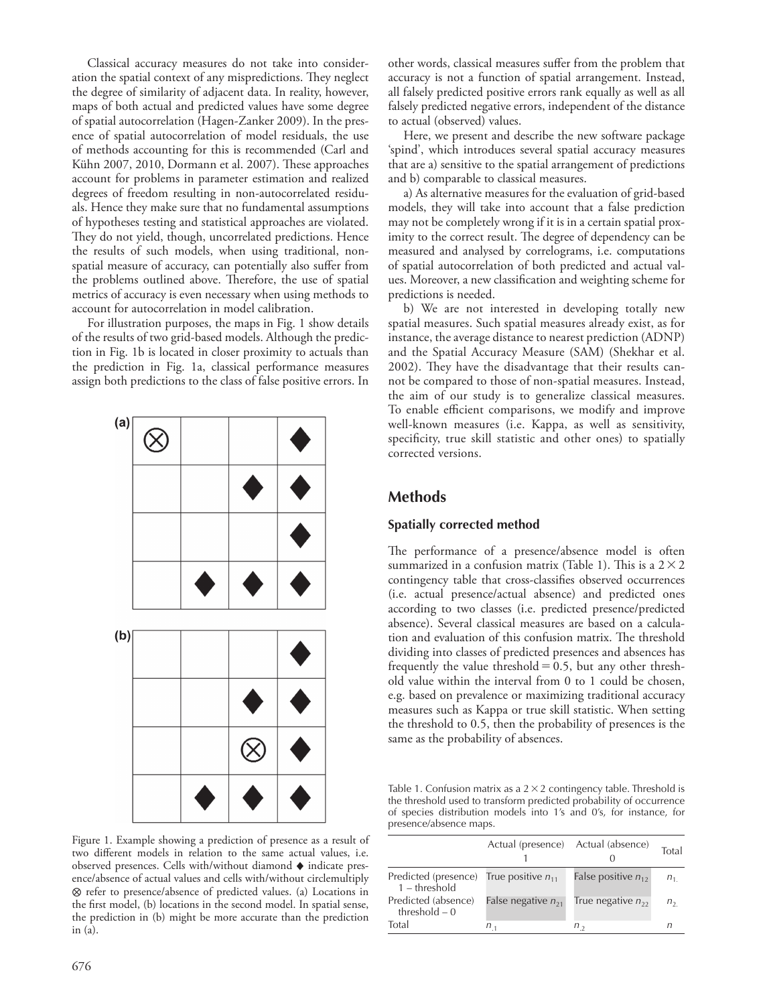Classical accuracy measures do not take into consideration the spatial context of any mispredictions. They neglect the degree of similarity of adjacent data. In reality, however, maps of both actual and predicted values have some degree of spatial autocorrelation (Hagen-Zanker 2009). In the presence of spatial autocorrelation of model residuals, the use of methods accounting for this is recommended (Carl and Kühn 2007, 2010, Dormann et al. 2007). These approaches account for problems in parameter estimation and realized degrees of freedom resulting in non-autocorrelated residuals. Hence they make sure that no fundamental assumptions of hypotheses testing and statistical approaches are violated. They do not yield, though, uncorrelated predictions. Hence the results of such models, when using traditional, nonspatial measure of accuracy, can potentially also suffer from the problems outlined above. Therefore, the use of spatial metrics of accuracy is even necessary when using methods to account for autocorrelation in model calibration.

For illustration purposes, the maps in Fig. 1 show details of the results of two grid-based models. Although the prediction in Fig. 1b is located in closer proximity to actuals than the prediction in Fig. 1a, classical performance measures assign both predictions to the class of false positive errors. In



Figure 1. Example showing a prediction of presence as a result of two different models in relation to the same actual values, i.e. observed presences. Cells with/without diamond ♦ indicate presence/absence of actual values and cells with/without circlemultiply ⊗ refer to presence/absence of predicted values. (a) Locations in the first model, (b) locations in the second model. In spatial sense, the prediction in (b) might be more accurate than the prediction in (a).

other words, classical measures suffer from the problem that accuracy is not a function of spatial arrangement. Instead, all falsely predicted positive errors rank equally as well as all falsely predicted negative errors, independent of the distance to actual (observed) values.

Here, we present and describe the new software package 'spind', which introduces several spatial accuracy measures that are a) sensitive to the spatial arrangement of predictions and b) comparable to classical measures.

a) As alternative measures for the evaluation of grid-based models, they will take into account that a false prediction may not be completely wrong if it is in a certain spatial proximity to the correct result. The degree of dependency can be measured and analysed by correlograms, i.e. computations of spatial autocorrelation of both predicted and actual values. Moreover, a new classification and weighting scheme for predictions is needed.

b) We are not interested in developing totally new spatial measures. Such spatial measures already exist, as for instance, the average distance to nearest prediction (ADNP) and the Spatial Accuracy Measure (SAM) (Shekhar et al. 2002). They have the disadvantage that their results cannot be compared to those of non-spatial measures. Instead, the aim of our study is to generalize classical measures. To enable efficient comparisons, we modify and improve well-known measures (i.e. Kappa, as well as sensitivity, specificity, true skill statistic and other ones) to spatially corrected versions.

# **Methods**

# **Spatially corrected method**

The performance of a presence/absence model is often summarized in a confusion matrix (Table 1). This is a  $2 \times 2$ contingency table that cross-classifies observed occurrences (i.e. actual presence/actual absence) and predicted ones according to two classes (i.e. predicted presence/predicted absence). Several classical measures are based on a calculation and evaluation of this confusion matrix. The threshold dividing into classes of predicted presences and absences has frequently the value threshold  $=0.5$ , but any other threshold value within the interval from 0 to 1 could be chosen, e.g. based on prevalence or maximizing traditional accuracy measures such as Kappa or true skill statistic. When setting the threshold to 0.5, then the probability of presences is the same as the probability of absences.

Table 1. Confusion matrix as a  $2 \times 2$  contingency table. Threshold is the threshold used to transform predicted probability of occurrence of species distribution models into 1's and 0's, for instance, for presence/absence maps.

|                                                                | Actual (presence) Actual (absence) |                         | Total          |
|----------------------------------------------------------------|------------------------------------|-------------------------|----------------|
| Predicted (presence) True positive $n_{11}$<br>$1 - threshold$ |                                    | False positive $n_{12}$ | n <sub>1</sub> |
| Predicted (absence)<br>threshold $-0$                          | False negative $n_{21}$            | True negative $n_{22}$  | $n_{2}$        |
| Total                                                          | n ,                                | $n_{\alpha}$            | n              |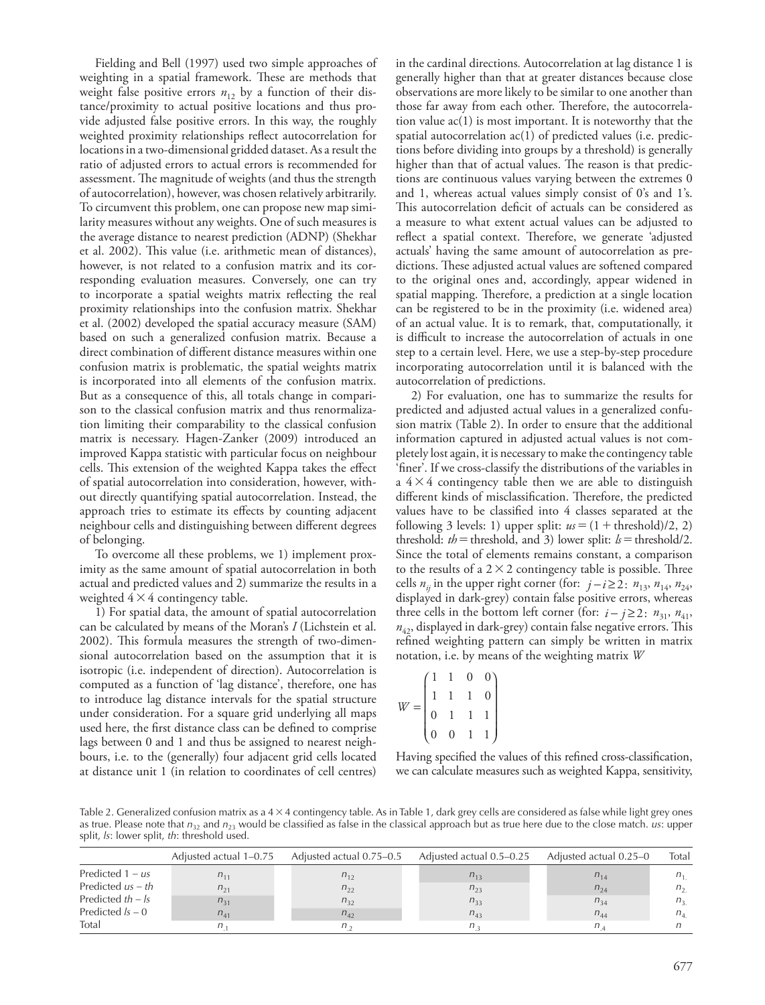Fielding and Bell (1997) used two simple approaches of weighting in a spatial framework. These are methods that weight false positive errors  $n_1$ , by a function of their distance/proximity to actual positive locations and thus provide adjusted false positive errors. In this way, the roughly weighted proximity relationships reflect autocorrelation for locations in a two-dimensional gridded dataset. As a result the ratio of adjusted errors to actual errors is recommended for assessment. The magnitude of weights (and thus the strength of autocorrelation), however, was chosen relatively arbitrarily. To circumvent this problem, one can propose new map similarity measures without any weights. One of such measures is the average distance to nearest prediction (ADNP) (Shekhar et al. 2002). This value (i.e. arithmetic mean of distances), however, is not related to a confusion matrix and its corresponding evaluation measures. Conversely, one can try to incorporate a spatial weights matrix reflecting the real proximity relationships into the confusion matrix. Shekhar et al. (2002) developed the spatial accuracy measure (SAM) based on such a generalized confusion matrix. Because a direct combination of different distance measures within one confusion matrix is problematic, the spatial weights matrix is incorporated into all elements of the confusion matrix. But as a consequence of this, all totals change in comparison to the classical confusion matrix and thus renormalization limiting their comparability to the classical confusion matrix is necessary. Hagen-Zanker (2009) introduced an improved Kappa statistic with particular focus on neighbour cells. This extension of the weighted Kappa takes the effect of spatial autocorrelation into consideration, however, without directly quantifying spatial autocorrelation. Instead, the approach tries to estimate its effects by counting adjacent neighbour cells and distinguishing between different degrees of belonging.

To overcome all these problems, we 1) implement proximity as the same amount of spatial autocorrelation in both actual and predicted values and 2) summarize the results in a weighted  $4 \times 4$  contingency table.

1) For spatial data, the amount of spatial autocorrelation can be calculated by means of the Moran's *I* (Lichstein et al. 2002). This formula measures the strength of two-dimensional autocorrelation based on the assumption that it is isotropic (i.e. independent of direction). Autocorrelation is computed as a function of 'lag distance', therefore, one has to introduce lag distance intervals for the spatial structure under consideration. For a square grid underlying all maps used here, the first distance class can be defined to comprise lags between 0 and 1 and thus be assigned to nearest neighbours, i.e. to the (generally) four adjacent grid cells located at distance unit 1 (in relation to coordinates of cell centres) in the cardinal directions*.* Autocorrelation at lag distance 1 is generally higher than that at greater distances because close observations are more likely to be similar to one another than those far away from each other. Therefore, the autocorrelation value  $ac(1)$  is most important. It is noteworthy that the spatial autocorrelation ac(1) of predicted values (i.e. predictions before dividing into groups by a threshold) is generally higher than that of actual values. The reason is that predictions are continuous values varying between the extremes 0 and 1, whereas actual values simply consist of 0's and 1's. This autocorrelation deficit of actuals can be considered as a measure to what extent actual values can be adjusted to reflect a spatial context. Therefore, we generate 'adjusted actuals' having the same amount of autocorrelation as predictions. These adjusted actual values are softened compared to the original ones and, accordingly, appear widened in spatial mapping. Therefore, a prediction at a single location can be registered to be in the proximity (i.e. widened area) of an actual value. It is to remark, that, computationally, it is difficult to increase the autocorrelation of actuals in one step to a certain level. Here, we use a step-by-step procedure incorporating autocorrelation until it is balanced with the autocorrelation of predictions.

2) For evaluation, one has to summarize the results for predicted and adjusted actual values in a generalized confusion matrix (Table 2). In order to ensure that the additional information captured in adjusted actual values is not completely lost again, it is necessary to make the contingency table 'finer'. If we cross-classify the distributions of the variables in a  $4 \times 4$  contingency table then we are able to distinguish different kinds of misclassification. Therefore, the predicted values have to be classified into 4 classes separated at the following 3 levels: 1) upper split:  $u = (1 + \text{threshold})/2, 2)$ threshold:  $th$  = threshold, and 3) lower split:  $k$  = threshold/2. Since the total of elements remains constant, a comparison to the results of a  $2 \times 2$  contingency table is possible. Three cells  $n_{ii}$  in the upper right corner (for:  $j - i \geq 2$ :  $n_{13}$ ,  $n_{14}$ ,  $n_{24}$ , displayed in dark-grey) contain false positive errors, whereas three cells in the bottom left corner (for:  $i - j \ge 2$ :  $n_{31}$ ,  $n_{41}$ ,  $n_{42}$ , displayed in dark-grey) contain false negative errors. This refined weighting pattern can simply be written in matrix notation, i.e. by means of the weighting matrix *W*

$$
W = \begin{pmatrix} 1 & 1 & 0 & 0 \\ 1 & 1 & 1 & 0 \\ 0 & 1 & 1 & 1 \\ 0 & 0 & 1 & 1 \end{pmatrix}
$$

Having specified the values of this refined cross-classification, we can calculate measures such as weighted Kappa, sensitivity,

Table 2. Generalized confusion matrix as a 4 × 4 contingency table. As in Table 1, dark grey cells are considered as false while light grey ones as true. Please note that  $n_{32}$  and  $n_{23}$  would be classified as false in the classical approach but as true here due to the close match. *us*: upper split, *ls*: lower split, *th*: threshold used.

|                     | Adjusted actual 1–0.75 | Adjusted actual 0.75–0.5 | Adjusted actual 0.5–0.25 | Adjusted actual 0.25–0 | Total          |
|---------------------|------------------------|--------------------------|--------------------------|------------------------|----------------|
| Predicted $1 - us$  | $n_{11}$               | $n_{12}$                 | $n_{13}$                 | $n_{14}$               | $n_{1}$        |
| Predicted $us-th$   | $n_{21}$               | $n_{22}$                 | $n_{23}$                 | $n_{24}$               | $n_{2}$        |
| Predicted $th - ls$ | $n_{31}$               | $n_{32}$                 | $n_{33}$                 | $n_{34}$               | n <sub>3</sub> |
| Predicted $Is - 0$  | $n_{41}$               | $n_{42}$                 | $n_{43}$                 | $n_{44}$               | $n_{4}$        |
| Total               |                        | $n_{\rm{1}}$             | $n_{2}$                  | n                      |                |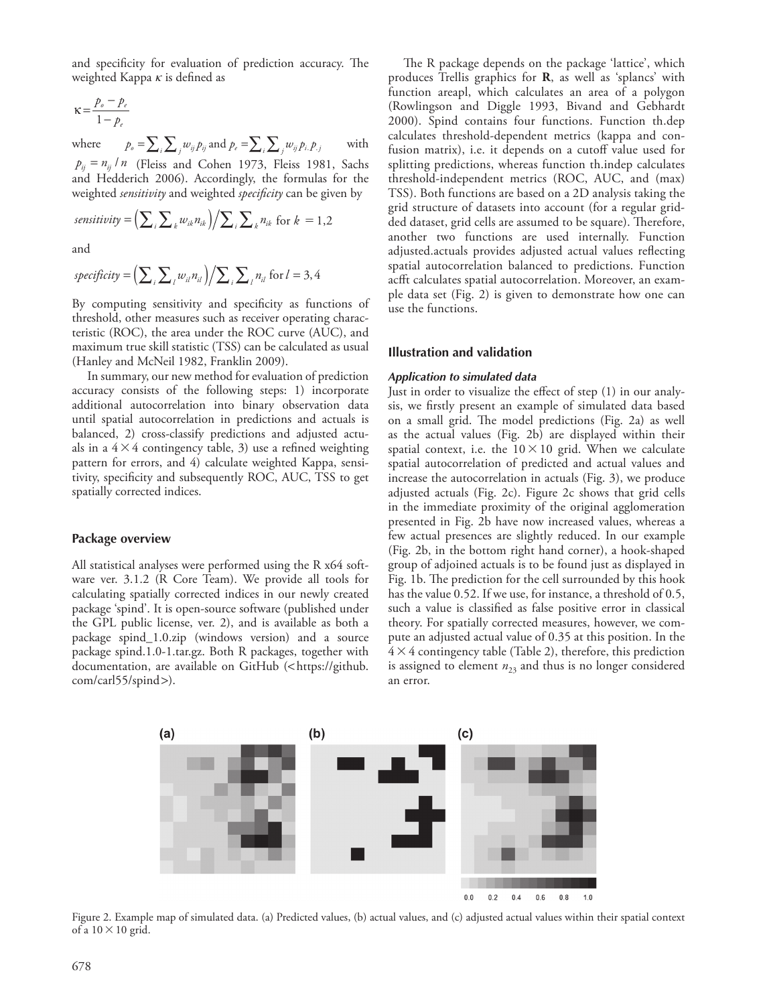and specificity for evaluation of prediction accuracy. The weighted Kappa  $\kappa$  is defined as

$$
\kappa = \frac{p_o - p_e}{1 - p_e}
$$

where  $p_o = \sum_i \sum_j w_{ij} p_j$  and  $p_e = \sum_i \sum_j w_{ij} p_i p_j$  with  $p_{ij} = n_{ij}/n$  (Fleiss and Cohen 1973, Fleiss 1981, Sachs and Hedderich 2006). Accordingly, the formulas for the weighted *sensitivity* and weighted *specificity* can be given by

$$
sensitivity = \left(\sum_{i}\sum_{k}w_{ik}n_{ik}\right)/\sum_{i}\sum_{k}n_{ik} \text{ for } k = 1,2
$$

and

$$
specificity = \left(\sum_{i}\sum_{l}w_{il}n_{il}\right)/\sum_{i}\sum_{l}n_{il} \text{ for } l=3,4
$$

By computing sensitivity and specificity as functions of threshold, other measures such as receiver operating characteristic (ROC), the area under the ROC curve (AUC), and maximum true skill statistic (TSS) can be calculated as usual (Hanley and McNeil 1982, Franklin 2009).

In summary, our new method for evaluation of prediction accuracy consists of the following steps: 1) incorporate additional autocorrelation into binary observation data until spatial autocorrelation in predictions and actuals is balanced, 2) cross-classify predictions and adjusted actuals in a  $4 \times 4$  contingency table, 3) use a refined weighting pattern for errors, and 4) calculate weighted Kappa, sensitivity, specificity and subsequently ROC, AUC, TSS to get spatially corrected indices.

#### **Package overview**

All statistical analyses were performed using the R x64 software ver. 3.1.2 (R Core Team). We provide all tools for calculating spatially corrected indices in our newly created package 'spind'. It is open-source software (published under the GPL public license, ver. 2), and is available as both a package spind\_1.0.zip (windows version) and a source package spind.1.0-1.tar.gz. Both R packages, together with documentation, are available on GitHub (<https://github. com/carl55/spind>).

The R package depends on the package 'lattice', which produces Trellis graphics for **R**, as well as 'splancs' with function areapl, which calculates an area of a polygon (Rowlingson and Diggle 1993, Bivand and Gebhardt 2000). Spind contains four functions. Function th.dep calculates threshold-dependent metrics (kappa and confusion matrix), i.e. it depends on a cutoff value used for splitting predictions, whereas function th.indep calculates threshold-independent metrics (ROC, AUC, and (max) TSS). Both functions are based on a 2D analysis taking the grid structure of datasets into account (for a regular gridded dataset, grid cells are assumed to be square). Therefore, another two functions are used internally. Function adjusted.actuals provides adjusted actual values reflecting spatial autocorrelation balanced to predictions. Function acfft calculates spatial autocorrelation. Moreover, an example data set (Fig. 2) is given to demonstrate how one can use the functions.

#### **Illustration and validation**

#### *Application to simulated data*

Just in order to visualize the effect of step (1) in our analysis, we firstly present an example of simulated data based on a small grid. The model predictions (Fig. 2a) as well as the actual values (Fig. 2b) are displayed within their spatial context, i.e. the  $10\times10$  grid. When we calculate spatial autocorrelation of predicted and actual values and increase the autocorrelation in actuals (Fig. 3), we produce adjusted actuals (Fig. 2c). Figure 2c shows that grid cells in the immediate proximity of the original agglomeration presented in Fig. 2b have now increased values, whereas a few actual presences are slightly reduced. In our example (Fig. 2b, in the bottom right hand corner), a hook-shaped group of adjoined actuals is to be found just as displayed in Fig. 1b. The prediction for the cell surrounded by this hook has the value 0.52. If we use, for instance, a threshold of 0.5, such a value is classified as false positive error in classical theory. For spatially corrected measures, however, we compute an adjusted actual value of 0.35 at this position. In the  $4 \times 4$  contingency table (Table 2), therefore, this prediction is assigned to element  $n_{23}$  and thus is no longer considered an error.



Figure 2. Example map of simulated data. (a) Predicted values, (b) actual values, and (c) adjusted actual values within their spatial context of a  $10 \times 10$  grid.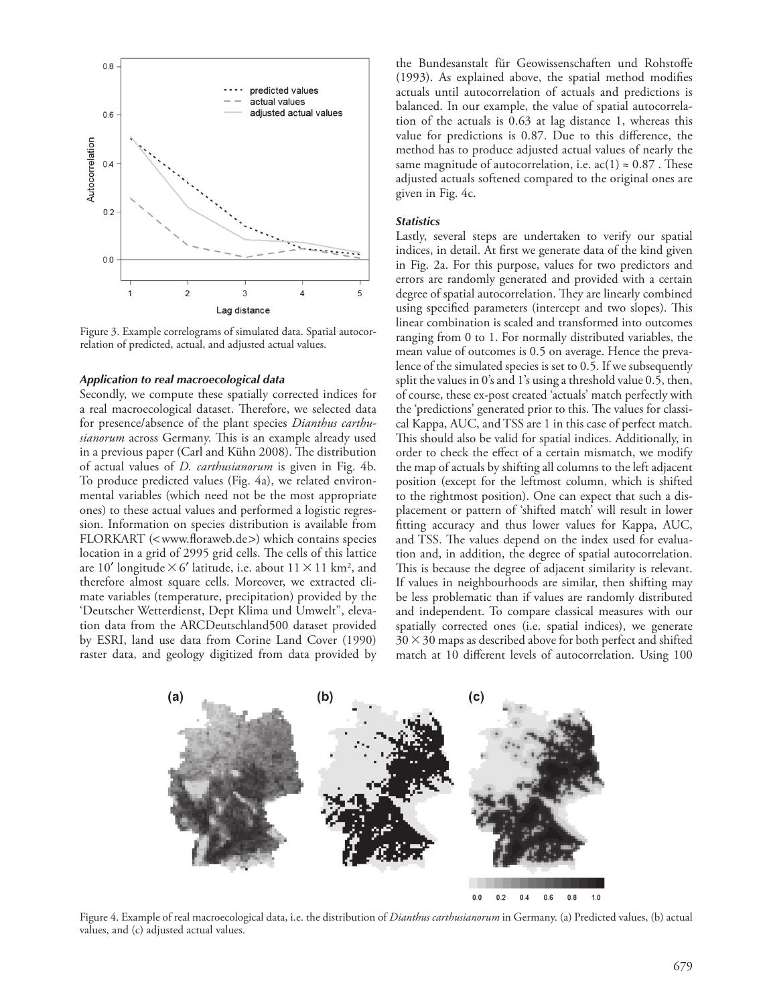

Figure 3. Example correlograms of simulated data. Spatial autocorrelation of predicted, actual, and adjusted actual values.

#### *Application to real macroecological data*

Secondly, we compute these spatially corrected indices for a real macroecological dataset. Therefore, we selected data for presence/absence of the plant species *Dianthus carthusianorum* across Germany. This is an example already used in a previous paper (Carl and Kühn 2008). The distribution of actual values of *D. carthusianorum* is given in Fig. 4b. To produce predicted values (Fig. 4a), we related environmental variables (which need not be the most appropriate ones) to these actual values and performed a logistic regression. Information on species distribution is available from FLORKART (<www.floraweb.de>) which contains species location in a grid of 2995 grid cells. The cells of this lattice are 10' longitude  $\times$  6' latitude, i.e. about 11  $\times$  11 km<sup>2</sup>, and therefore almost square cells. Moreover, we extracted climate variables (temperature, precipitation) provided by the 'Deutscher Wetterdienst, Dept Klima und Umwelt'', elevation data from the ARCDeutschland500 dataset provided by ESRI, land use data from Corine Land Cover (1990) raster data, and geology digitized from data provided by the Bundesanstalt für Geowissenschaften und Rohstoffe (1993). As explained above, the spatial method modifies actuals until autocorrelation of actuals and predictions is balanced. In our example, the value of spatial autocorrelation of the actuals is 0.63 at lag distance 1, whereas this value for predictions is 0.87. Due to this difference, the method has to produce adjusted actual values of nearly the same magnitude of autocorrelation, i.e.  $ac(1) \approx 0.87$ . These adjusted actuals softened compared to the original ones are given in Fig. 4c.

#### *Statistics*

Lastly, several steps are undertaken to verify our spatial indices, in detail. At first we generate data of the kind given in Fig. 2a. For this purpose, values for two predictors and errors are randomly generated and provided with a certain degree of spatial autocorrelation. They are linearly combined using specified parameters (intercept and two slopes). This linear combination is scaled and transformed into outcomes ranging from 0 to 1. For normally distributed variables, the mean value of outcomes is 0.5 on average. Hence the prevalence of the simulated species is set to 0.5. If we subsequently split the values in 0's and 1's using a threshold value 0.5, then, of course, these ex-post created 'actuals' match perfectly with the 'predictions' generated prior to this. The values for classical Kappa, AUC, and TSS are 1 in this case of perfect match. This should also be valid for spatial indices. Additionally, in order to check the effect of a certain mismatch, we modify the map of actuals by shifting all columns to the left adjacent position (except for the leftmost column, which is shifted to the rightmost position). One can expect that such a displacement or pattern of 'shifted match' will result in lower fitting accuracy and thus lower values for Kappa, AUC, and TSS. The values depend on the index used for evaluation and, in addition, the degree of spatial autocorrelation. This is because the degree of adjacent similarity is relevant. If values in neighbourhoods are similar, then shifting may be less problematic than if values are randomly distributed and independent. To compare classical measures with our spatially corrected ones (i.e. spatial indices), we generate  $30 \times 30$  maps as described above for both perfect and shifted match at 10 different levels of autocorrelation. Using 100



Figure 4. Example of real macroecological data, i.e. the distribution of *Dianthus carthusianorum* in Germany. (a) Predicted values, (b) actual values, and (c) adjusted actual values.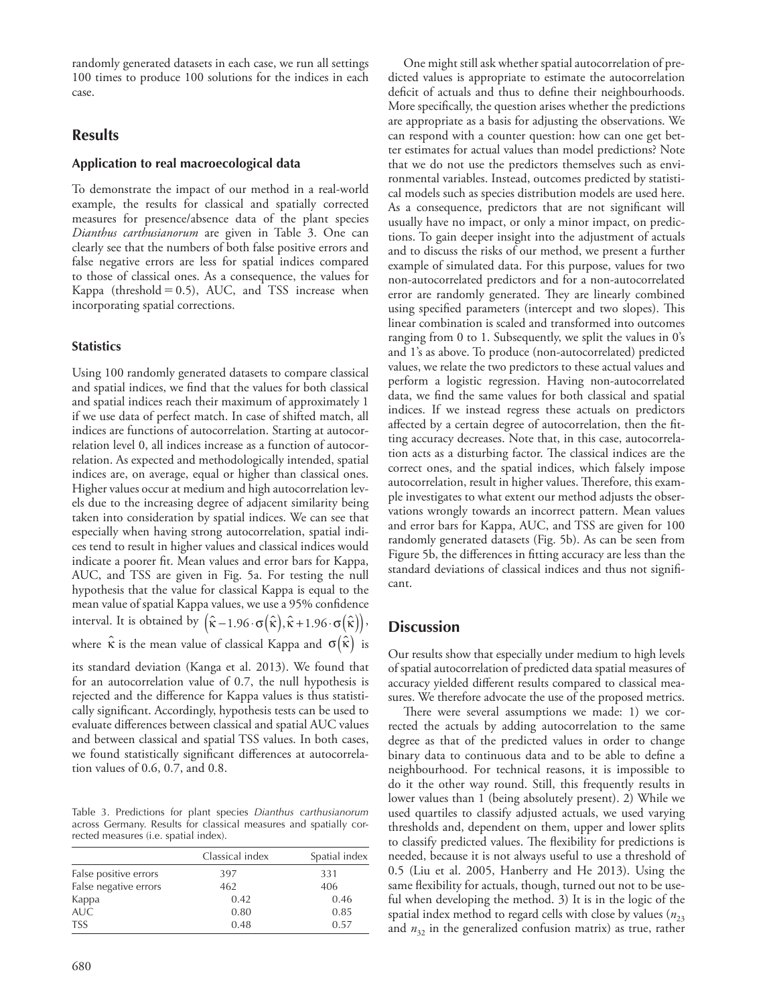randomly generated datasets in each case, we run all settings 100 times to produce 100 solutions for the indices in each case.

# **Results**

# **Application to real macroecological data**

To demonstrate the impact of our method in a real-world example, the results for classical and spatially corrected measures for presence/absence data of the plant species *Dianthus carthusianorum* are given in Table 3. One can clearly see that the numbers of both false positive errors and false negative errors are less for spatial indices compared to those of classical ones. As a consequence, the values for Kappa (threshold  $= 0.5$ ), AUC, and TSS increase when incorporating spatial corrections.

### **Statistics**

Using 100 randomly generated datasets to compare classical and spatial indices, we find that the values for both classical and spatial indices reach their maximum of approximately 1 if we use data of perfect match. In case of shifted match, all indices are functions of autocorrelation. Starting at autocorrelation level 0, all indices increase as a function of autocorrelation. As expected and methodologically intended, spatial indices are, on average, equal or higher than classical ones. Higher values occur at medium and high autocorrelation levels due to the increasing degree of adjacent similarity being taken into consideration by spatial indices. We can see that especially when having strong autocorrelation, spatial indices tend to result in higher values and classical indices would indicate a poorer fit. Mean values and error bars for Kappa, AUC, and TSS are given in Fig. 5a. For testing the null hypothesis that the value for classical Kappa is equal to the mean value of spatial Kappa values, we use a 95% confidence interval. It is obtained by  $(\hat{\kappa} - 1.96 \cdot \sigma(\hat{\kappa}), \hat{\kappa} + 1.96 \cdot \sigma(\hat{\kappa})).$ where  $\hat{\kappa}$  is the mean value of classical Kappa and  $\sigma(\hat{\kappa})$  is

its standard deviation (Kanga et al. 2013). We found that for an autocorrelation value of 0.7, the null hypothesis is rejected and the difference for Kappa values is thus statistically significant. Accordingly, hypothesis tests can be used to evaluate differences between classical and spatial AUC values and between classical and spatial TSS values. In both cases, we found statistically significant differences at autocorrelation values of 0.6, 0.7, and 0.8.

Table 3. Predictions for plant species *Dianthus carthusianorum* across Germany. Results for classical measures and spatially corrected measures (i.e. spatial index).

|                       | Classical index | Spatial index |
|-----------------------|-----------------|---------------|
| False positive errors | 397             | 331           |
| False negative errors | 462             | 406           |
| Kappa                 | 0.42            | 0.46          |
| AUC.                  | 0.80            | 0.85          |
| <b>TSS</b>            | 0.48            | 0.57          |

One might still ask whether spatial autocorrelation of predicted values is appropriate to estimate the autocorrelation deficit of actuals and thus to define their neighbourhoods. More specifically, the question arises whether the predictions are appropriate as a basis for adjusting the observations. We can respond with a counter question: how can one get better estimates for actual values than model predictions? Note that we do not use the predictors themselves such as environmental variables. Instead, outcomes predicted by statistical models such as species distribution models are used here. As a consequence, predictors that are not significant will usually have no impact, or only a minor impact, on predictions. To gain deeper insight into the adjustment of actuals and to discuss the risks of our method, we present a further example of simulated data. For this purpose, values for two non-autocorrelated predictors and for a non-autocorrelated error are randomly generated. They are linearly combined using specified parameters (intercept and two slopes). This linear combination is scaled and transformed into outcomes ranging from 0 to 1. Subsequently, we split the values in 0's and 1's as above. To produce (non-autocorrelated) predicted values, we relate the two predictors to these actual values and perform a logistic regression. Having non-autocorrelated data, we find the same values for both classical and spatial indices. If we instead regress these actuals on predictors affected by a certain degree of autocorrelation, then the fitting accuracy decreases. Note that, in this case, autocorrelation acts as a disturbing factor. The classical indices are the correct ones, and the spatial indices, which falsely impose autocorrelation, result in higher values. Therefore, this example investigates to what extent our method adjusts the observations wrongly towards an incorrect pattern. Mean values and error bars for Kappa, AUC, and TSS are given for 100 randomly generated datasets (Fig. 5b). As can be seen from Figure 5b, the differences in fitting accuracy are less than the standard deviations of classical indices and thus not significant.

# **Discussion**

Our results show that especially under medium to high levels of spatial autocorrelation of predicted data spatial measures of accuracy yielded different results compared to classical measures. We therefore advocate the use of the proposed metrics.

There were several assumptions we made: 1) we corrected the actuals by adding autocorrelation to the same degree as that of the predicted values in order to change binary data to continuous data and to be able to define a neighbourhood. For technical reasons, it is impossible to do it the other way round. Still, this frequently results in lower values than 1 (being absolutely present). 2) While we used quartiles to classify adjusted actuals, we used varying thresholds and, dependent on them, upper and lower splits to classify predicted values. The flexibility for predictions is needed, because it is not always useful to use a threshold of 0.5 (Liu et al. 2005, Hanberry and He 2013). Using the same flexibility for actuals, though, turned out not to be useful when developing the method. 3) It is in the logic of the spatial index method to regard cells with close by values  $(n_{23})$ and  $n_{32}$  in the generalized confusion matrix) as true, rather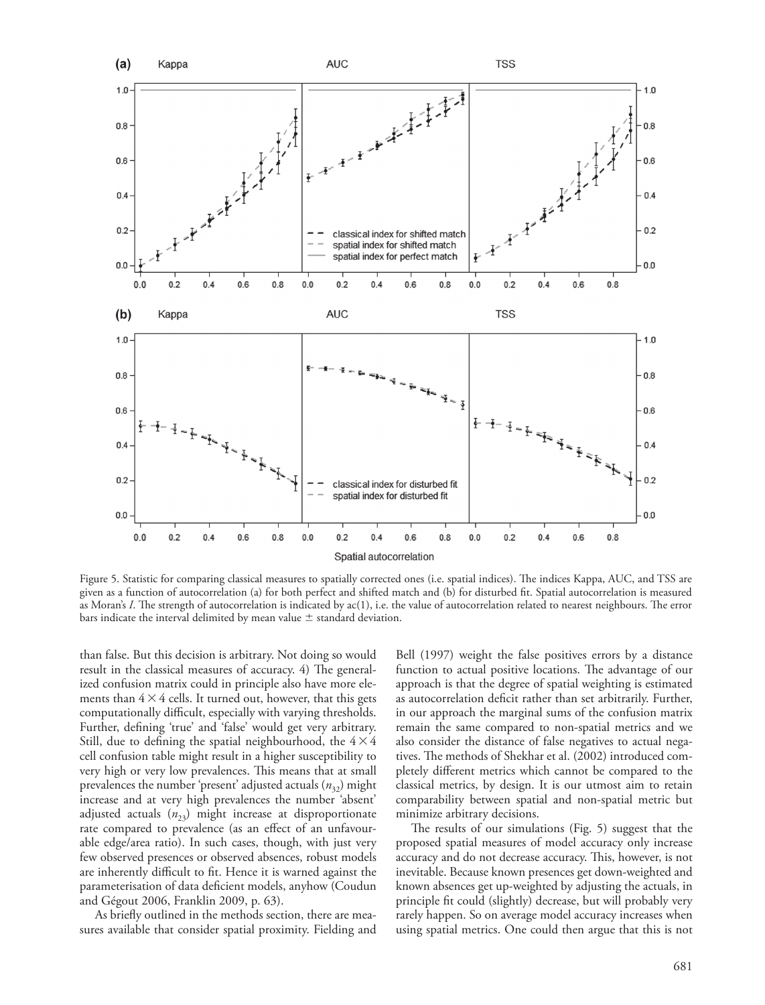

Figure 5. Statistic for comparing classical measures to spatially corrected ones (i.e. spatial indices). The indices Kappa, AUC, and TSS are given as a function of autocorrelation (a) for both perfect and shifted match and (b) for disturbed fit. Spatial autocorrelation is measured as Moran's *I*. The strength of autocorrelation is indicated by ac(1), i.e. the value of autocorrelation related to nearest neighbours. The error bars indicate the interval delimited by mean value  $\pm$  standard deviation.

than false. But this decision is arbitrary. Not doing so would result in the classical measures of accuracy. 4) The generalized confusion matrix could in principle also have more elements than  $4 \times 4$  cells. It turned out, however, that this gets computationally difficult, especially with varying thresholds. Further, defining 'true' and 'false' would get very arbitrary. Still, due to defining the spatial neighbourhood, the  $4 \times 4$ cell confusion table might result in a higher susceptibility to very high or very low prevalences. This means that at small prevalences the number 'present' adjusted actuals ( $n_{32}$ ) might increase and at very high prevalences the number 'absent' adjusted actuals ( $n_{23}$ ) might increase at disproportionate rate compared to prevalence (as an effect of an unfavourable edge/area ratio). In such cases, though, with just very few observed presences or observed absences, robust models are inherently difficult to fit. Hence it is warned against the parameterisation of data deficient models, anyhow (Coudun and Gégout 2006, Franklin 2009, p. 63).

As briefly outlined in the methods section, there are measures available that consider spatial proximity. Fielding and Bell (1997) weight the false positives errors by a distance function to actual positive locations. The advantage of our approach is that the degree of spatial weighting is estimated as autocorrelation deficit rather than set arbitrarily. Further, in our approach the marginal sums of the confusion matrix remain the same compared to non-spatial metrics and we also consider the distance of false negatives to actual negatives. The methods of Shekhar et al. (2002) introduced completely different metrics which cannot be compared to the classical metrics, by design. It is our utmost aim to retain comparability between spatial and non-spatial metric but minimize arbitrary decisions.

The results of our simulations (Fig. 5) suggest that the proposed spatial measures of model accuracy only increase accuracy and do not decrease accuracy. This, however, is not inevitable. Because known presences get down-weighted and known absences get up-weighted by adjusting the actuals, in principle fit could (slightly) decrease, but will probably very rarely happen. So on average model accuracy increases when using spatial metrics. One could then argue that this is not